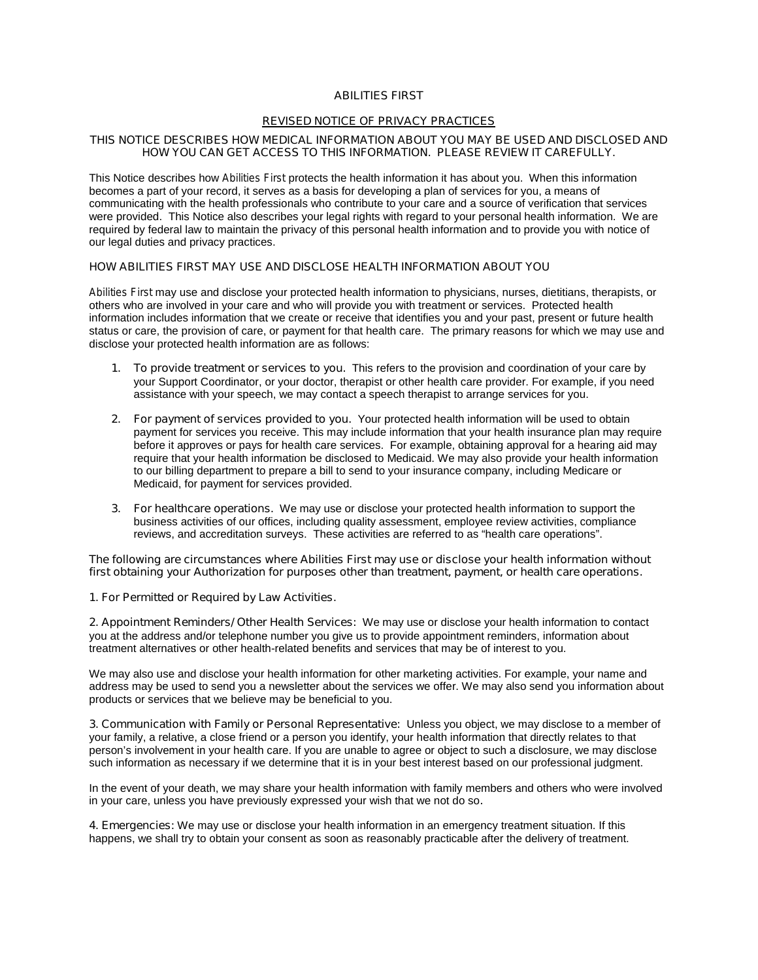# *ABILITIES FIRST*

#### *REVISED NOTICE OF PRIVACY PRACTICES*

# **THIS NOTICE DESCRIBES HOW MEDICAL INFORMATION ABOUT YOU MAY BE USED AND DISCLOSED AND HOW YOU CAN GET ACCESS TO THIS INFORMATION. PLEASE REVIEW IT CAREFULLY.**

This Notice describes how *Abilities First* protects the health information it has about you. When this information becomes a part of your record, it serves as a basis for developing a plan of services for you, a means of communicating with the health professionals who contribute to your care and a source of verification that services were provided. This Notice also describes your legal rights with regard to your personal health information. We are required by federal law to maintain the privacy of this personal health information and to provide you with notice of our legal duties and privacy practices.

# **HOW** *ABILITIES FIRST* **MAY USE AND DISCLOSE HEALTH INFORMATION ABOUT YOU**

*Abilities First* may use and disclose your protected health information to physicians, nurses, dietitians, therapists, or others who are involved in your care and who will provide you with treatment or services. Protected health information includes information that we create or receive that identifies you and your past, present or future health status or care, the provision of care, or payment for that health care. The primary reasons for which we may use and disclose your protected health information are as follows:

- **1. To provide treatment or services to you.** This refers to the provision and coordination of your care by your Support Coordinator, or your doctor, therapist or other health care provider. For example, if you need assistance with your speech, we may contact a speech therapist to arrange services for you.
- **2. For payment of services provided to you.** Your protected health information will be used to obtain payment for services you receive. This may include information that your health insurance plan may require before it approves or pays for health care services. For example, obtaining approval for a hearing aid may require that your health information be disclosed to Medicaid. We may also provide your health information to our billing department to prepare a bill to send to your insurance company, including Medicare or Medicaid, for payment for services provided.
- **3. For healthcare operations.** We may use or disclose your protected health information to support the business activities of our offices, including quality assessment, employee review activities, compliance reviews, and accreditation surveys. These activities are referred to as "health care operations".

**The following are circumstances where** *Abilities First* **may use or disclose your health information without first obtaining your Authorization for purposes other than treatment, payment, or health care operations.**

#### **1. For Permitted or Required by Law Activities.**

**2. Appointment Reminders/ Other Health Services:** We may use or disclose your health information to contact you at the address and/or telephone number you give us to provide appointment reminders, information about treatment alternatives or other health-related benefits and services that may be of interest to you.

We may also use and disclose your health information for other marketing activities. For example, your name and address may be used to send you a newsletter about the services we offer. We may also send you information about products or services that we believe may be beneficial to you.

**3. Communication with Family or Personal Representative:** Unless you object, we may disclose to a member of your family, a relative, a close friend or a person you identify, your health information that directly relates to that person's involvement in your health care. If you are unable to agree or object to such a disclosure, we may disclose such information as necessary if we determine that it is in your best interest based on our professional judgment.

In the event of your death, we may share your health information with family members and others who were involved in your care, unless you have previously expressed your wish that we not do so**.** 

**4. Emergencies:** We may use or disclose your health information in an emergency treatment situation. If this happens, we shall try to obtain your consent as soon as reasonably practicable after the delivery of treatment.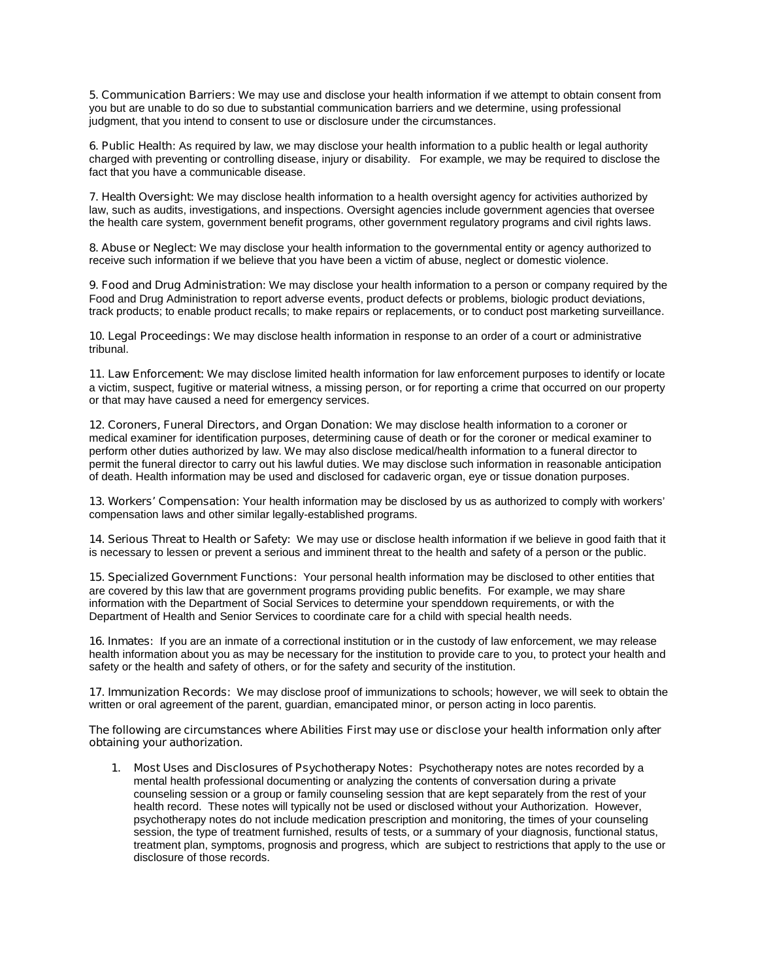**5. Communication Barriers:** We may use and disclose your health information if we attempt to obtain consent from you but are unable to do so due to substantial communication barriers and we determine, using professional judgment, that you intend to consent to use or disclosure under the circumstances.

**6. Public Health:** As required by law, we may disclose your health information to a public health or legal authority charged with preventing or controlling disease, injury or disability. For example, we may be required to disclose the fact that you have a communicable disease.

**7. Health Oversight:** We may disclose health information to a health oversight agency for activities authorized by law, such as audits, investigations, and inspections. Oversight agencies include government agencies that oversee the health care system, government benefit programs, other government regulatory programs and civil rights laws.

**8. Abuse or Neglect:** We may disclose your health information to the governmental entity or agency authorized to receive such information if we believe that you have been a victim of abuse, neglect or domestic violence.

**9. Food and Drug Administration:** We may disclose your health information to a person or company required by the Food and Drug Administration to report adverse events, product defects or problems, biologic product deviations, track products; to enable product recalls; to make repairs or replacements, or to conduct post marketing surveillance.

**10. Legal Proceedings:** We may disclose health information in response to an order of a court or administrative tribunal.

**11. Law Enforcement:** We may disclose limited health information for law enforcement purposes to identify or locate a victim, suspect, fugitive or material witness, a missing person, or for reporting a crime that occurred on our property or that may have caused a need for emergency services.

**12. Coroners, Funeral Directors, and Organ Donation:** We may disclose health information to a coroner or medical examiner for identification purposes, determining cause of death or for the coroner or medical examiner to perform other duties authorized by law. We may also disclose medical/health information to a funeral director to permit the funeral director to carry out his lawful duties. We may disclose such information in reasonable anticipation of death. Health information may be used and disclosed for cadaveric organ, eye or tissue donation purposes.

**13. Workers' Compensation:** Your health information may be disclosed by us as authorized to comply with workers' compensation laws and other similar legally-established programs.

**14. Serious Threat to Health or Safety:** We may use or disclose health information if we believe in good faith that it is necessary to lessen or prevent a serious and imminent threat to the health and safety of a person or the public.

**15. Specialized Government Functions:** Your personal health information may be disclosed to other entities that are covered by this law that are government programs providing public benefits. For example, we may share information with the Department of Social Services to determine your spenddown requirements, or with the Department of Health and Senior Services to coordinate care for a child with special health needs.

**16. Inmates:** If you are an inmate of a correctional institution or in the custody of law enforcement, we may release health information about you as may be necessary for the institution to provide care to you, to protect your health and safety or the health and safety of others, or for the safety and security of the institution.

**17. Immunization Records:** We may disclose proof of immunizations to schools; however, we will seek to obtain the written or oral agreement of the parent, guardian, emancipated minor, or person acting in loco parentis.

#### **The following are circumstances where** *Abilities First* **may use or disclose your health information only after obtaining your authorization.**

**1. Most Uses and Disclosures of Psychotherapy Notes:** Psychotherapy notes are notes recorded by a mental health professional documenting or analyzing the contents of conversation during a private counseling session or a group or family counseling session that are kept separately from the rest of your health record. These notes will typically not be used or disclosed without your Authorization. However, psychotherapy notes do not include medication prescription and monitoring, the times of your counseling session, the type of treatment furnished, results of tests, or a summary of your diagnosis, functional status, treatment plan, symptoms, prognosis and progress, which are subject to restrictions that apply to the use or disclosure of those records.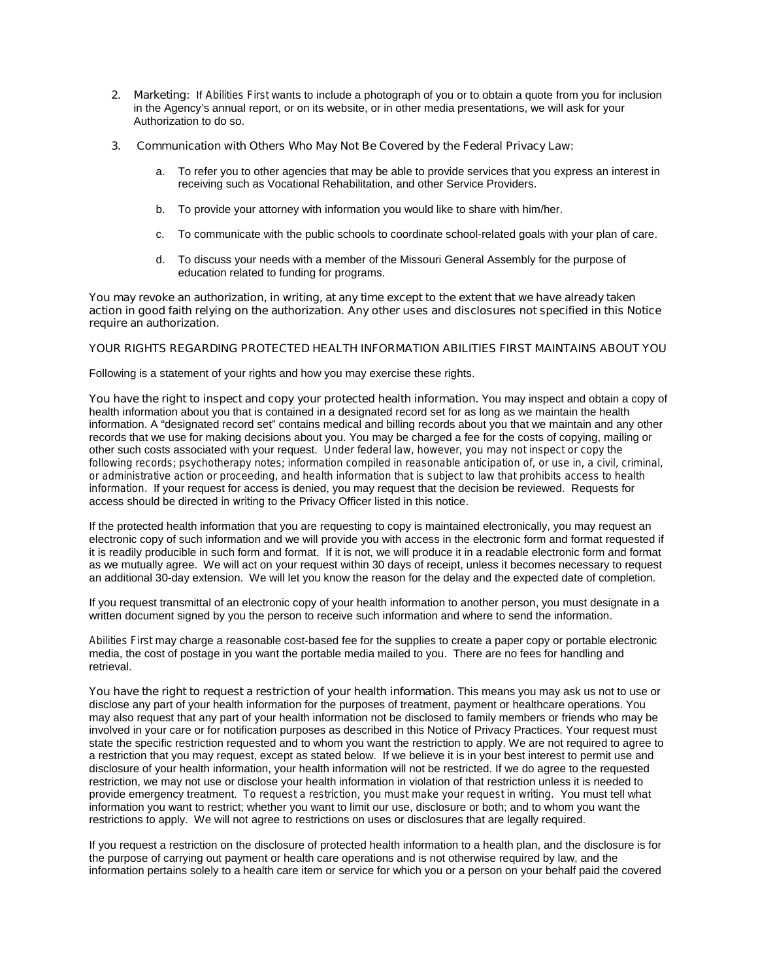**2. Marketing:** If *Abilities First* wants to include a photograph of you or to obtain a quote from you for inclusion in the Agency's annual report, or on its website, or in other media presentations, we will ask for your Authorization to do so.

#### **3. Communication with Others Who May Not Be Covered by the Federal Privacy Law:**

- a. To refer you to other agencies that may be able to provide services that you express an interest in receiving such as Vocational Rehabilitation, and other Service Providers.
- b. To provide your attorney with information you would like to share with him/her.
- c. To communicate with the public schools to coordinate school-related goals with your plan of care.
- d. To discuss your needs with a member of the Missouri General Assembly for the purpose of education related to funding for programs.

**You may revoke an authorization, in writing, at any time except to the extent that we have already taken action in good faith relying on the authorization. Any other uses and disclosures not specified in this Notice require an authorization.** 

# **YOUR RIGHTS REGARDING PROTECTED HEALTH INFORMATION ABILITIES FIRST MAINTAINS ABOUT YOU**

Following is a statement of your rights and how you may exercise these rights.

**You have the right to inspect and copy your protected health information.** You may inspect and obtain a copy of health information about you that is contained in a designated record set for as long as we maintain the health information. A "designated record set" contains medical and billing records about you that we maintain and any other records that we use for making decisions about you. You may be charged a fee for the costs of copying, mailing or other such costs associated with your request. *Under federal law, however, you may not inspect or copy the following records; psychotherapy notes; information compiled in reasonable anticipation of, or use in, a civil, criminal, or administrative action or proceeding, and health information that is subject to law that prohibits access to health information.* If your request for access is denied, you may request that the decision be reviewed. Requests for access should be directed *in writing* to the Privacy Officer listed in this notice.

If the protected health information that you are requesting to copy is maintained electronically, you may request an electronic copy of such information and we will provide you with access in the electronic form and format requested if it is readily producible in such form and format. If it is not, we will produce it in a readable electronic form and format as we mutually agree. We will act on your request within 30 days of receipt, unless it becomes necessary to request an additional 30-day extension. We will let you know the reason for the delay and the expected date of completion.

If you request transmittal of an electronic copy of your health information to another person, you must designate in a written document signed by you the person to receive such information and where to send the information.

*Abilities First* may charge a reasonable cost-based fee for the supplies to create a paper copy or portable electronic media, the cost of postage in you want the portable media mailed to you. There are no fees for handling and retrieval.

**You have the right to request a restriction of your health information.** This means you may ask us not to use or disclose any part of your health information for the purposes of treatment, payment or healthcare operations. You may also request that any part of your health information not be disclosed to family members or friends who may be involved in your care or for notification purposes as described in this Notice of Privacy Practices. Your request must state the specific restriction requested and to whom you want the restriction to apply. We are not required to agree to a restriction that you may request, except as stated below. If we believe it is in your best interest to permit use and disclosure of your health information, your health information will not be restricted. If we do agree to the requested restriction, we may not use or disclose your health information in violation of that restriction unless it is needed to provide emergency treatment. *To request a restriction, you must make your request in writing.* You must tell what information you want to restrict; whether you want to limit our use, disclosure or both; and to whom you want the restrictions to apply. We will not agree to restrictions on uses or disclosures that are legally required.

If you request a restriction on the disclosure of protected health information to a health plan, and the disclosure is for the purpose of carrying out payment or health care operations and is not otherwise required by law, and the information pertains solely to a health care item or service for which you or a person on your behalf paid the covered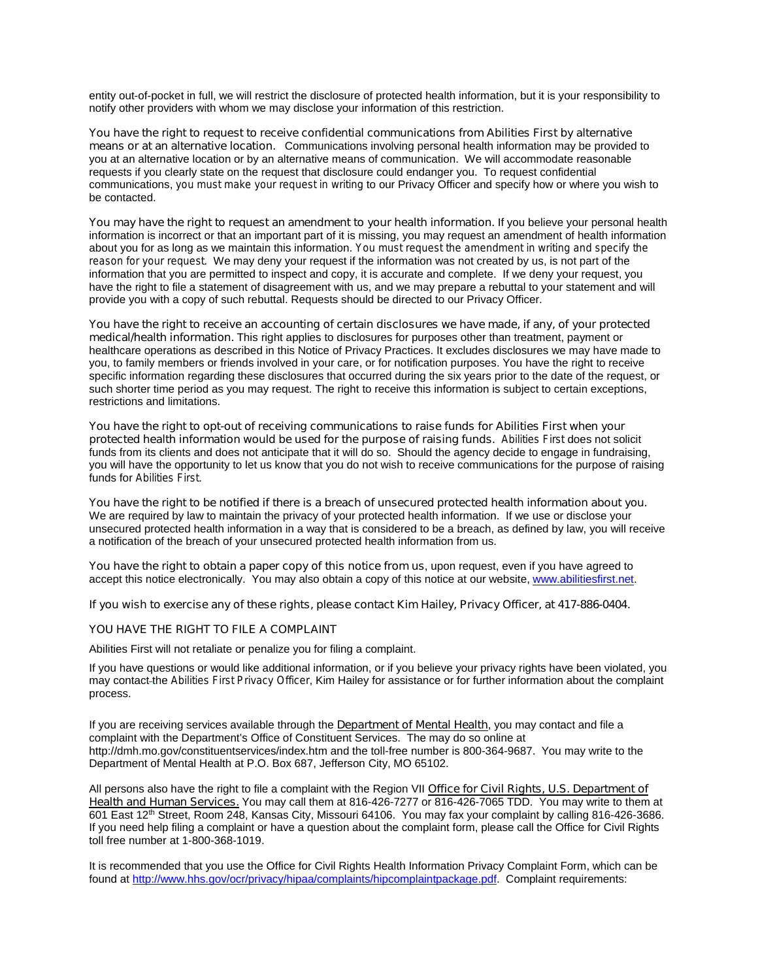entity out-of-pocket in full, we will restrict the disclosure of protected health information, but it is your responsibility to notify other providers with whom we may disclose your information of this restriction.

**You have the right to request to receive confidential communications from** *Abilities First* **by alternative means or at an alternative location.** Communications involving personal health information may be provided to you at an alternative location or by an alternative means of communication. We will accommodate reasonable requests if you clearly state on the request that disclosure could endanger you. To request confidential communications, *you must make your request in writing* to our Privacy Officer and specify how or where you wish to be contacted.

**You may have the right to request an amendment to your health information.** If you believe your personal health information is incorrect or that an important part of it is missing, you may request an amendment of health information about you for as long as we maintain this information. *You must request the amendment in writing and specify the reason for your request.* We may deny your request if the information was not created by us, is not part of the information that you are permitted to inspect and copy, it is accurate and complete. If we deny your request, you have the right to file a statement of disagreement with us, and we may prepare a rebuttal to your statement and will provide you with a copy of such rebuttal. Requests should be directed to our Privacy Officer.

**You have the right to receive an accounting of certain disclosures we have made, if any, of your protected medical/health information.** This right applies to disclosures for purposes other than treatment, payment or healthcare operations as described in this Notice of Privacy Practices. It excludes disclosures we may have made to you, to family members or friends involved in your care, or for notification purposes. You have the right to receive specific information regarding these disclosures that occurred during the six years prior to the date of the request, or such shorter time period as you may request. The right to receive this information is subject to certain exceptions, restrictions and limitations.

**You have the right to opt-out of receiving communications to raise funds for** *Abilities First* **when your protected health information would be used for the purpose of raising funds.** *Abilities First* does not solicit funds from its clients and does not anticipate that it will do so. Should the agency decide to engage in fundraising, you will have the opportunity to let us know that you do not wish to receive communications for the purpose of raising funds for *Abilities First*.

**You have the right to be notified if there is a breach of unsecured protected health information about you.**  We are required by law to maintain the privacy of your protected health information. If we use or disclose your unsecured protected health information in a way that is considered to be a breach, as defined by law, you will receive a notification of the breach of your unsecured protected health information from us.

**You have the right to obtain a paper copy of this notice from us**, upon request, even if you have agreed to accept this notice electronically. You may also obtain a copy of this notice at our website, [www.abilitiesfirst.net](http://www.abilitiesfirst.net/).

#### **If you wish to exercise any of these rights, please contact Kim Hailey, Privacy Officer, at 417-886-0404.**

# **YOU HAVE THE RIGHT TO FILE A COMPLAINT**

Abilities First will not retaliate or penalize you for filing a complaint.

If you have questions or would like additional information, or if you believe your privacy rights have been violated, you may contact the *Abilities First Privacy Officer*, Kim Hailey for assistance or for further information about the complaint process.

If you are receiving services available through the **Department of Mental Health**, you may contact and file a complaint with the Department's Office of Constituent Services. The may do so online at <http://dmh.mo.gov/constituentservices/index.htm> and the toll-free number is 800-364-9687. You may write to the Department of Mental Health at P.O. Box 687, Jefferson City, MO 65102.

All persons also have the right to file a complaint with the Region VII **Office for Civil Rights, U.S. Department of Health and Human Services.** You may call them at 816-426-7277 or 816-426-7065 TDD. You may write to them at 601 East 12th Street, Room 248, Kansas City, Missouri 64106. You may fax your complaint by calling 816-426-3686. If you need help filing a complaint or have a question about the complaint form, please call the Office for Civil Rights toll free number at 1-800-368-1019.

It is recommended that you use the Office for Civil Rights Health Information Privacy Complaint Form, which can be found at<http://www.hhs.gov/ocr/privacy/hipaa/complaints/hipcomplaintpackage.pdf>. Complaint requirements: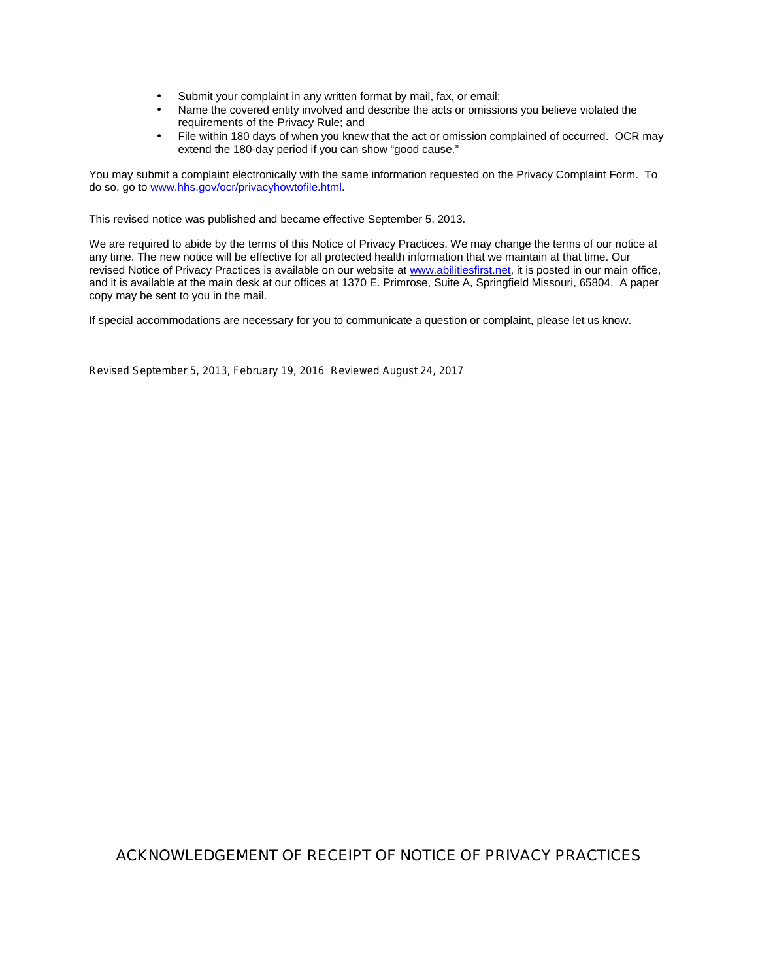- Submit your complaint in any written format by mail, fax, or email;
- Name the covered entity involved and describe the acts or omissions you believe violated the requirements of the Privacy Rule; and
- File within 180 days of when you knew that the act or omission complained of occurred. OCR may extend the 180-day period if you can show "good cause."

You may submit a complaint electronically with the same information requested on the Privacy Complaint Form. To do so, go to [www.hhs.gov/ocr/privacyhowtofile.html](http://www.hhs.gov/ocr/privacyhowtofile.html).

This revised notice was published and became effective September 5, 2013.

We are required to abide by the terms of this Notice of Privacy Practices. We may change the terms of our notice at any time. The new notice will be effective for all protected health information that we maintain at that time. Our revised Notice of Privacy Practices is available on our website at [www.abilitiesfirst.net](http://www.abilitiesfirst.net/), it is posted in our main office, and it is available at the main desk at our offices at 1370 E. Primrose, Suite A, Springfield Missouri, 65804. A paper copy may be sent to you in the mail.

If special accommodations are necessary for you to communicate a question or complaint, please let us know.

*Revised September 5, 2013, February 19, 2016 Reviewed August 24, 2017*

# **ACKNOWLEDGEMENT OF RECEIPT OF** *NOTICE OF PRIVACY PRACTICES*